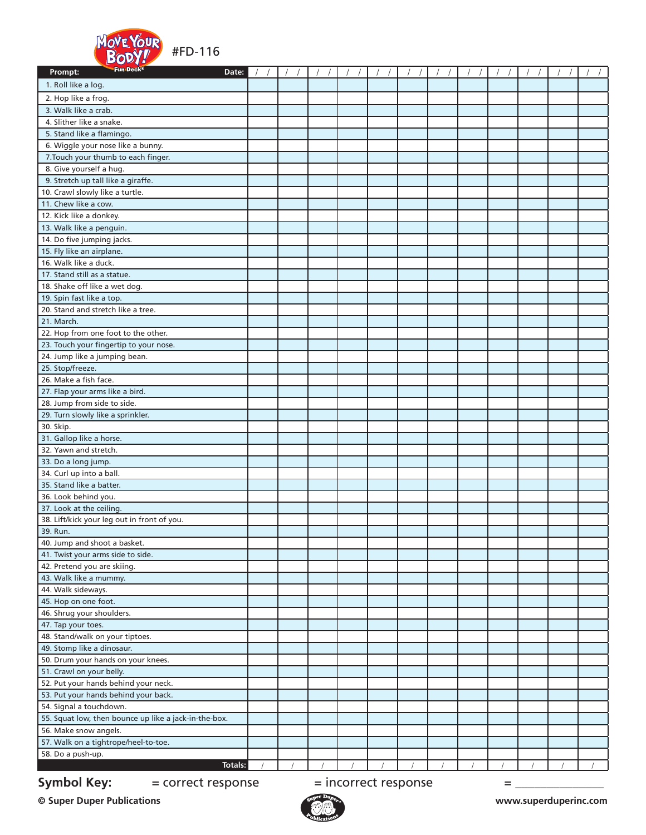

| Fun Deck <sup>®</sup><br>Prompt:<br>Date:                               |  |  |  |  |  |  |  |  |  |  |
|-------------------------------------------------------------------------|--|--|--|--|--|--|--|--|--|--|
| 1. Roll like a log.                                                     |  |  |  |  |  |  |  |  |  |  |
| 2. Hop like a frog.                                                     |  |  |  |  |  |  |  |  |  |  |
| 3. Walk like a crab.                                                    |  |  |  |  |  |  |  |  |  |  |
| 4. Slither like a snake.                                                |  |  |  |  |  |  |  |  |  |  |
| 5. Stand like a flamingo.                                               |  |  |  |  |  |  |  |  |  |  |
| 6. Wiggle your nose like a bunny.                                       |  |  |  |  |  |  |  |  |  |  |
| 7. Touch your thumb to each finger.                                     |  |  |  |  |  |  |  |  |  |  |
| 8. Give yourself a hug.                                                 |  |  |  |  |  |  |  |  |  |  |
| 9. Stretch up tall like a giraffe.                                      |  |  |  |  |  |  |  |  |  |  |
| 10. Crawl slowly like a turtle.                                         |  |  |  |  |  |  |  |  |  |  |
| 11. Chew like a cow.                                                    |  |  |  |  |  |  |  |  |  |  |
| 12. Kick like a donkey.                                                 |  |  |  |  |  |  |  |  |  |  |
| 13. Walk like a penguin.                                                |  |  |  |  |  |  |  |  |  |  |
| 14. Do five jumping jacks.                                              |  |  |  |  |  |  |  |  |  |  |
| 15. Fly like an airplane.                                               |  |  |  |  |  |  |  |  |  |  |
| 16. Walk like a duck.                                                   |  |  |  |  |  |  |  |  |  |  |
| 17. Stand still as a statue.                                            |  |  |  |  |  |  |  |  |  |  |
| 18. Shake off like a wet dog.                                           |  |  |  |  |  |  |  |  |  |  |
| 19. Spin fast like a top.                                               |  |  |  |  |  |  |  |  |  |  |
| 20. Stand and stretch like a tree.                                      |  |  |  |  |  |  |  |  |  |  |
| 21. March.                                                              |  |  |  |  |  |  |  |  |  |  |
| 22. Hop from one foot to the other.                                     |  |  |  |  |  |  |  |  |  |  |
| 23. Touch your fingertip to your nose.                                  |  |  |  |  |  |  |  |  |  |  |
| 24. Jump like a jumping bean.                                           |  |  |  |  |  |  |  |  |  |  |
| 25. Stop/freeze.<br>26. Make a fish face.                               |  |  |  |  |  |  |  |  |  |  |
| 27. Flap your arms like a bird.                                         |  |  |  |  |  |  |  |  |  |  |
| 28. Jump from side to side.                                             |  |  |  |  |  |  |  |  |  |  |
| 29. Turn slowly like a sprinkler.                                       |  |  |  |  |  |  |  |  |  |  |
| 30. Skip.                                                               |  |  |  |  |  |  |  |  |  |  |
| 31. Gallop like a horse.                                                |  |  |  |  |  |  |  |  |  |  |
| 32. Yawn and stretch.                                                   |  |  |  |  |  |  |  |  |  |  |
| 33. Do a long jump.                                                     |  |  |  |  |  |  |  |  |  |  |
| 34. Curl up into a ball.                                                |  |  |  |  |  |  |  |  |  |  |
| 35. Stand like a batter.                                                |  |  |  |  |  |  |  |  |  |  |
| 36. Look behind you.                                                    |  |  |  |  |  |  |  |  |  |  |
| 37. Look at the ceiling.                                                |  |  |  |  |  |  |  |  |  |  |
| 38. Lift/kick your leg out in front of you.                             |  |  |  |  |  |  |  |  |  |  |
| 39. Run.                                                                |  |  |  |  |  |  |  |  |  |  |
| 40. Jump and shoot a basket.                                            |  |  |  |  |  |  |  |  |  |  |
| 41. Twist your arms side to side.                                       |  |  |  |  |  |  |  |  |  |  |
| 42. Pretend you are skiing.                                             |  |  |  |  |  |  |  |  |  |  |
| 43. Walk like a mummy.                                                  |  |  |  |  |  |  |  |  |  |  |
| 44. Walk sideways.                                                      |  |  |  |  |  |  |  |  |  |  |
| 45. Hop on one foot.                                                    |  |  |  |  |  |  |  |  |  |  |
| 46. Shrug your shoulders.<br>47. Tap your toes.                         |  |  |  |  |  |  |  |  |  |  |
| 48. Stand/walk on your tiptoes.                                         |  |  |  |  |  |  |  |  |  |  |
| 49. Stomp like a dinosaur.                                              |  |  |  |  |  |  |  |  |  |  |
| 50. Drum your hands on your knees.                                      |  |  |  |  |  |  |  |  |  |  |
| 51. Crawl on your belly.                                                |  |  |  |  |  |  |  |  |  |  |
| 52. Put your hands behind your neck.                                    |  |  |  |  |  |  |  |  |  |  |
| 53. Put your hands behind your back.                                    |  |  |  |  |  |  |  |  |  |  |
| 54. Signal a touchdown.                                                 |  |  |  |  |  |  |  |  |  |  |
| 55. Squat low, then bounce up like a jack-in-the-box.                   |  |  |  |  |  |  |  |  |  |  |
| 56. Make snow angels.                                                   |  |  |  |  |  |  |  |  |  |  |
| 57. Walk on a tightrope/heel-to-toe.                                    |  |  |  |  |  |  |  |  |  |  |
| 58. Do a push-up.                                                       |  |  |  |  |  |  |  |  |  |  |
| <b>Totals:</b>                                                          |  |  |  |  |  |  |  |  |  |  |
| <b>Symbol Key:</b><br>$=$ incorrect response<br>= correct response<br>= |  |  |  |  |  |  |  |  |  |  |

**© Super Duper Publications www.superduperinc.com**